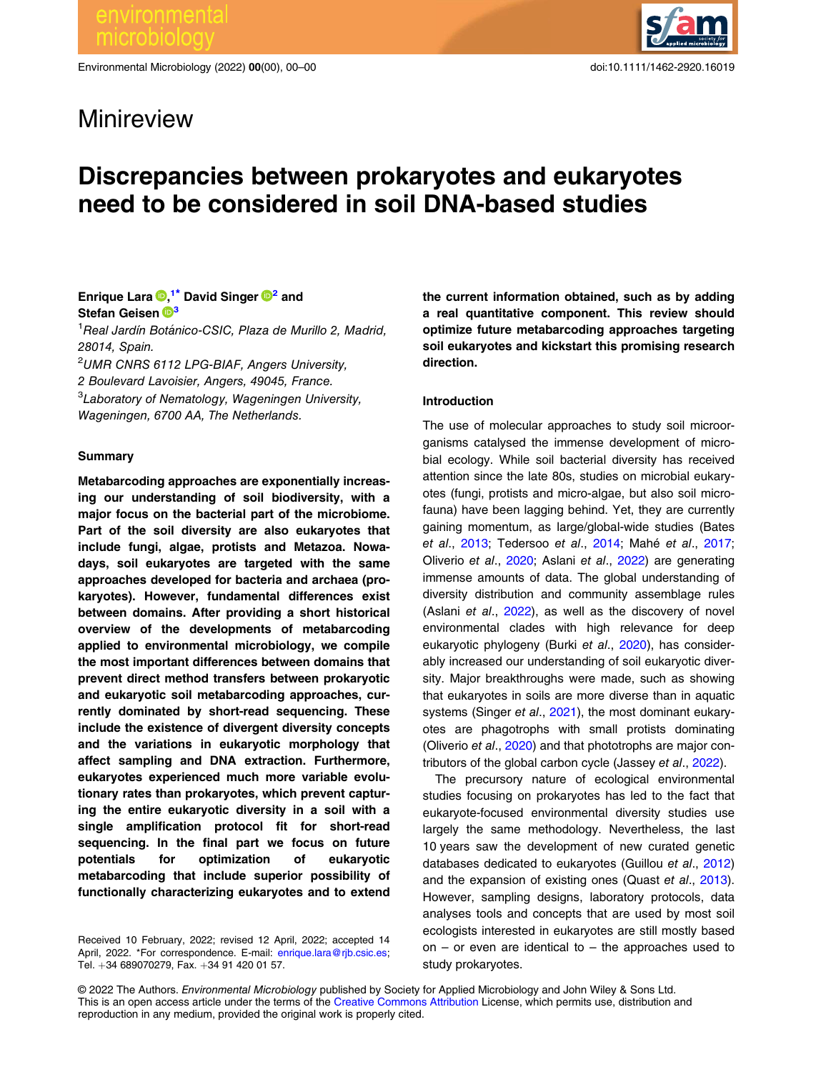Minireview

Environmental Microbiology (2022) 00(00), 00–00 doi:10.1111/1462-2920.16019



# Discrepancies between prokaryotes and eukaryotes need to be considered in soil DNA-based studies

## Enrique Lara  $\mathbf{D},^{1*}$  $\mathbf{D},^{1*}$  $\mathbf{D},^{1*}$  David Singer  $\mathbf{D}^2$  and Stefan Geisen <sup>1[3](https://orcid.org/0000-0003-0734-727X)</sup>

<sup>1</sup> Real Jardín Botánico-CSIC, Plaza de Murillo 2, Madrid, 28014, Spain.

2 UMR CNRS 6112 LPG-BIAF, Angers University, 2 Boulevard Lavoisier, Angers, 49045, France.

<sup>3</sup>Laboratory of Nematology, Wageningen University,

Wageningen, 6700 AA, The Netherlands.

#### Summary

Metabarcoding approaches are exponentially increasing our understanding of soil biodiversity, with a major focus on the bacterial part of the microbiome. Part of the soil diversity are also eukaryotes that include fungi, algae, protists and Metazoa. Nowadays, soil eukaryotes are targeted with the same approaches developed for bacteria and archaea (prokaryotes). However, fundamental differences exist between domains. After providing a short historical overview of the developments of metabarcoding applied to environmental microbiology, we compile the most important differences between domains that prevent direct method transfers between prokaryotic and eukaryotic soil metabarcoding approaches, currently dominated by short-read sequencing. These include the existence of divergent diversity concepts and the variations in eukaryotic morphology that affect sampling and DNA extraction. Furthermore, eukaryotes experienced much more variable evolutionary rates than prokaryotes, which prevent capturing the entire eukaryotic diversity in a soil with a single amplification protocol fit for short-read sequencing. In the final part we focus on future potentials for optimization of eukaryotic metabarcoding that include superior possibility of functionally characterizing eukaryotes and to extend

Received 10 February, 2022; revised 12 April, 2022; accepted 14 April, 2022. \*For correspondence. E-mail: [enrique.lara@rjb.csic.es;](mailto:enrique.lara@rjb.csic.es) Tel. +34 689070279, Fax. +34 91 420 01 57.

the current information obtained, such as by adding a real quantitative component. This review should optimize future metabarcoding approaches targeting soil eukaryotes and kickstart this promising research direction.

#### Introduction

The use of molecular approaches to study soil microorganisms catalysed the immense development of microbial ecology. While soil bacterial diversity has received attention since the late 80s, studies on microbial eukaryotes (fungi, protists and micro-algae, but also soil microfauna) have been lagging behind. Yet, they are currently gaining momentum, as large/global-wide studies (Bates et al., [2013](#page-7-0); Tedersoo et al., [2014;](#page-10-0) Mahé et al., [2017;](#page-9-0) Oliverio et al., [2020](#page-9-0); Aslani et al., [2022\)](#page-7-0) are generating immense amounts of data. The global understanding of diversity distribution and community assemblage rules (Aslani et al., [2022\)](#page-7-0), as well as the discovery of novel environmental clades with high relevance for deep eukaryotic phylogeny (Burki et al., [2020](#page-8-0)), has considerably increased our understanding of soil eukaryotic diversity. Major breakthroughs were made, such as showing that eukaryotes in soils are more diverse than in aquatic systems (Singer et al., [2021](#page-10-0)), the most dominant eukaryotes are phagotrophs with small protists dominating (Oliverio et al., [2020\)](#page-9-0) and that phototrophs are major contributors of the global carbon cycle (Jassey et al., [2022](#page-9-0)).

The precursory nature of ecological environmental studies focusing on prokaryotes has led to the fact that eukaryote-focused environmental diversity studies use largely the same methodology. Nevertheless, the last 10 years saw the development of new curated genetic databases dedicated to eukaryotes (Guillou et al., [2012](#page-8-0)) and the expansion of existing ones (Quast et al., [2013\)](#page-9-0). However, sampling designs, laboratory protocols, data analyses tools and concepts that are used by most soil ecologists interested in eukaryotes are still mostly based on – or even are identical to – the approaches used to study prokaryotes.

© 2022 The Authors. Environmental Microbiology published by Society for Applied Microbiology and John Wiley & Sons Ltd. This is an open access article under the terms of the [Creative Commons Attribution](http://creativecommons.org/licenses/by/4.0/) License, which permits use, distribution and reproduction in any medium, provided the original work is properly cited.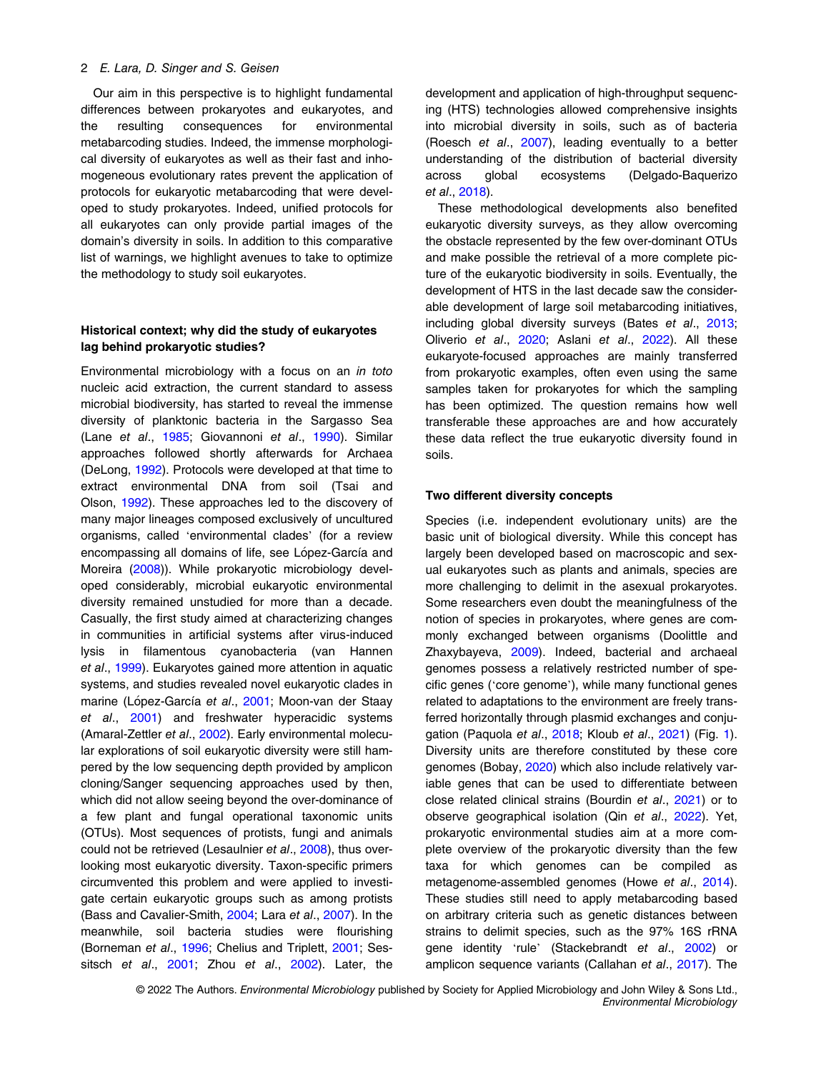#### 2 E. Lara, D. Singer and S. Geisen

Our aim in this perspective is to highlight fundamental differences between prokaryotes and eukaryotes, and the resulting consequences for environmental metabarcoding studies. Indeed, the immense morphological diversity of eukaryotes as well as their fast and inhomogeneous evolutionary rates prevent the application of protocols for eukaryotic metabarcoding that were developed to study prokaryotes. Indeed, unified protocols for all eukaryotes can only provide partial images of the domain's diversity in soils. In addition to this comparative list of warnings, we highlight avenues to take to optimize the methodology to study soil eukaryotes.

## Historical context; why did the study of eukaryotes lag behind prokaryotic studies?

Environmental microbiology with a focus on an in toto nucleic acid extraction, the current standard to assess microbial biodiversity, has started to reveal the immense diversity of planktonic bacteria in the Sargasso Sea (Lane et al., [1985](#page-9-0); Giovannoni et al., [1990](#page-8-0)). Similar approaches followed shortly afterwards for Archaea (DeLong, [1992](#page-8-0)). Protocols were developed at that time to extract environmental DNA from soil (Tsai and Olson, [1992](#page-10-0)). These approaches led to the discovery of many major lineages composed exclusively of uncultured organisms, called 'environmental clades' (for a review encompassing all domains of life, see López-García and Moreira [\(2008](#page-9-0))). While prokaryotic microbiology developed considerably, microbial eukaryotic environmental diversity remained unstudied for more than a decade. Casually, the first study aimed at characterizing changes in communities in artificial systems after virus-induced lysis in filamentous cyanobacteria (van Hannen et al., [1999\)](#page-10-0). Eukaryotes gained more attention in aquatic systems, and studies revealed novel eukaryotic clades in marine (López-García et al., [2001](#page-9-0); Moon-van der Staay et al., [2001](#page-9-0)) and freshwater hyperacidic systems (Amaral-Zettler et al., [2002](#page-7-0)). Early environmental molecular explorations of soil eukaryotic diversity were still hampered by the low sequencing depth provided by amplicon cloning/Sanger sequencing approaches used by then, which did not allow seeing beyond the over-dominance of a few plant and fungal operational taxonomic units (OTUs). Most sequences of protists, fungi and animals could not be retrieved (Lesaulnier et al., [2008\)](#page-9-0), thus overlooking most eukaryotic diversity. Taxon-specific primers circumvented this problem and were applied to investigate certain eukaryotic groups such as among protists (Bass and Cavalier-Smith, [2004;](#page-7-0) Lara et al., [2007](#page-9-0)). In the meanwhile, soil bacteria studies were flourishing (Borneman et al., [1996](#page-7-0); Chelius and Triplett, [2001](#page-8-0); Ses-sitsch et al., [2001](#page-10-0); Zhou et al., [2002](#page-10-0)). Later, the development and application of high-throughput sequencing (HTS) technologies allowed comprehensive insights into microbial diversity in soils, such as of bacteria (Roesch et al., [2007](#page-9-0)), leading eventually to a better understanding of the distribution of bacterial diversity across global ecosystems (Delgado-Baquerizo et al., [2018\)](#page-8-0).

These methodological developments also benefited eukaryotic diversity surveys, as they allow overcoming the obstacle represented by the few over-dominant OTUs and make possible the retrieval of a more complete picture of the eukaryotic biodiversity in soils. Eventually, the development of HTS in the last decade saw the considerable development of large soil metabarcoding initiatives, including global diversity surveys (Bates et al., [2013;](#page-7-0) Oliverio et al., [2020](#page-9-0); Aslani et al., [2022\)](#page-7-0). All these eukaryote-focused approaches are mainly transferred from prokaryotic examples, often even using the same samples taken for prokaryotes for which the sampling has been optimized. The question remains how well transferable these approaches are and how accurately these data reflect the true eukaryotic diversity found in soils.

#### Two different diversity concepts

Species (i.e. independent evolutionary units) are the basic unit of biological diversity. While this concept has largely been developed based on macroscopic and sexual eukaryotes such as plants and animals, species are more challenging to delimit in the asexual prokaryotes. Some researchers even doubt the meaningfulness of the notion of species in prokaryotes, where genes are commonly exchanged between organisms (Doolittle and Zhaxybayeva, [2009\)](#page-8-0). Indeed, bacterial and archaeal genomes possess a relatively restricted number of specific genes ('core genome'), while many functional genes related to adaptations to the environment are freely transferred horizontally through plasmid exchanges and conjugation (Paquola et al., [2018;](#page-9-0) Kloub et al., [2021\)](#page-9-0) (Fig. [1\)](#page-2-0). Diversity units are therefore constituted by these core genomes (Bobay, [2020](#page-7-0)) which also include relatively variable genes that can be used to differentiate between close related clinical strains (Bourdin et al., [2021](#page-7-0)) or to observe geographical isolation (Qin et al., [2022](#page-9-0)). Yet, prokaryotic environmental studies aim at a more complete overview of the prokaryotic diversity than the few taxa for which genomes can be compiled as metagenome-assembled genomes (Howe et al., [2014\)](#page-8-0). These studies still need to apply metabarcoding based on arbitrary criteria such as genetic distances between strains to delimit species, such as the 97% 16S rRNA gene identity 'rule' (Stackebrandt et al., [2002\)](#page-10-0) or amplicon sequence variants (Callahan et al., [2017](#page-8-0)). The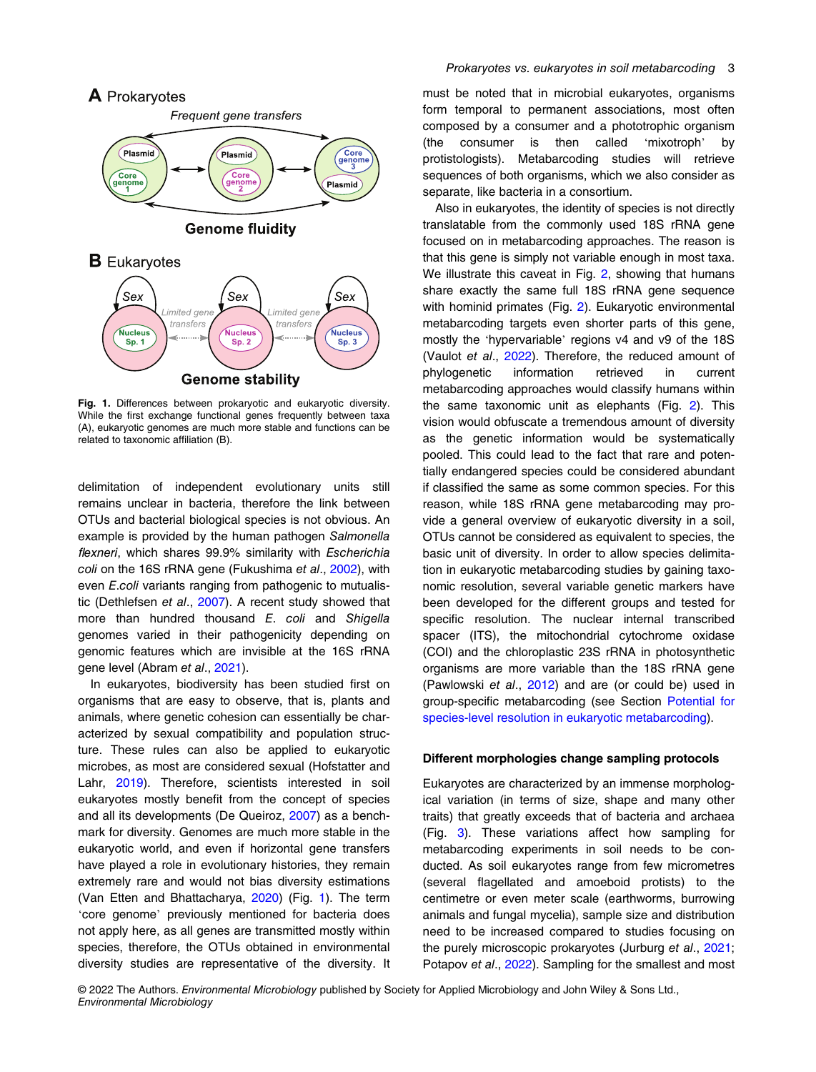<span id="page-2-0"></span>

Fig. 1. Differences between prokaryotic and eukaryotic diversity. While the first exchange functional genes frequently between taxa (A), eukaryotic genomes are much more stable and functions can be related to taxonomic affiliation (B).

delimitation of independent evolutionary units still remains unclear in bacteria, therefore the link between OTUs and bacterial biological species is not obvious. An example is provided by the human pathogen Salmonella flexneri, which shares 99.9% similarity with Escherichia coli on the 16S rRNA gene (Fukushima et al., [2002\)](#page-8-0), with even E.coli variants ranging from pathogenic to mutualistic (Dethlefsen et al., [2007](#page-8-0)). A recent study showed that more than hundred thousand E. coli and Shigella genomes varied in their pathogenicity depending on genomic features which are invisible at the 16S rRNA gene level (Abram et al., [2021](#page-7-0)).

In eukaryotes, biodiversity has been studied first on organisms that are easy to observe, that is, plants and animals, where genetic cohesion can essentially be characterized by sexual compatibility and population structure. These rules can also be applied to eukaryotic microbes, as most are considered sexual (Hofstatter and Lahr, [2019\)](#page-8-0). Therefore, scientists interested in soil eukaryotes mostly benefit from the concept of species and all its developments (De Queiroz, [2007](#page-8-0)) as a benchmark for diversity. Genomes are much more stable in the eukaryotic world, and even if horizontal gene transfers have played a role in evolutionary histories, they remain extremely rare and would not bias diversity estimations (Van Etten and Bhattacharya, [2020\)](#page-10-0) (Fig. 1). The term 'core genome' previously mentioned for bacteria does not apply here, as all genes are transmitted mostly within species, therefore, the OTUs obtained in environmental diversity studies are representative of the diversity. It must be noted that in microbial eukaryotes, organisms form temporal to permanent associations, most often composed by a consumer and a phototrophic organism (the consumer is then called 'mixotroph' by protistologists). Metabarcoding studies will retrieve sequences of both organisms, which we also consider as separate, like bacteria in a consortium.

Also in eukaryotes, the identity of species is not directly translatable from the commonly used 18S rRNA gene focused on in metabarcoding approaches. The reason is that this gene is simply not variable enough in most taxa. We illustrate this caveat in Fig. [2,](#page-3-0) showing that humans share exactly the same full 18S rRNA gene sequence with hominid primates (Fig. [2](#page-3-0)). Eukaryotic environmental metabarcoding targets even shorter parts of this gene, mostly the 'hypervariable' regions v4 and v9 of the 18S (Vaulot et al., [2022](#page-10-0)). Therefore, the reduced amount of phylogenetic information retrieved in current metabarcoding approaches would classify humans within the same taxonomic unit as elephants (Fig. [2](#page-3-0)). This vision would obfuscate a tremendous amount of diversity as the genetic information would be systematically pooled. This could lead to the fact that rare and potentially endangered species could be considered abundant if classified the same as some common species. For this reason, while 18S rRNA gene metabarcoding may provide a general overview of eukaryotic diversity in a soil, OTUs cannot be considered as equivalent to species, the basic unit of diversity. In order to allow species delimitation in eukaryotic metabarcoding studies by gaining taxonomic resolution, several variable genetic markers have been developed for the different groups and tested for specific resolution. The nuclear internal transcribed spacer (ITS), the mitochondrial cytochrome oxidase (COI) and the chloroplastic 23S rRNA in photosynthetic organisms are more variable than the 18S rRNA gene (Pawlowski et al., [2012\)](#page-9-0) and are (or could be) used in group-specific metabarcoding (see Section [Potential for](#page-6-0) [species-level resolution in eukaryotic metabarcoding\)](#page-6-0).

#### Different morphologies change sampling protocols

Eukaryotes are characterized by an immense morphological variation (in terms of size, shape and many other traits) that greatly exceeds that of bacteria and archaea (Fig. [3\)](#page-3-0). These variations affect how sampling for metabarcoding experiments in soil needs to be conducted. As soil eukaryotes range from few micrometres (several flagellated and amoeboid protists) to the centimetre or even meter scale (earthworms, burrowing animals and fungal mycelia), sample size and distribution need to be increased compared to studies focusing on the purely microscopic prokaryotes (Jurburg et al., [2021;](#page-9-0) Potapov et al., [2022](#page-9-0)). Sampling for the smallest and most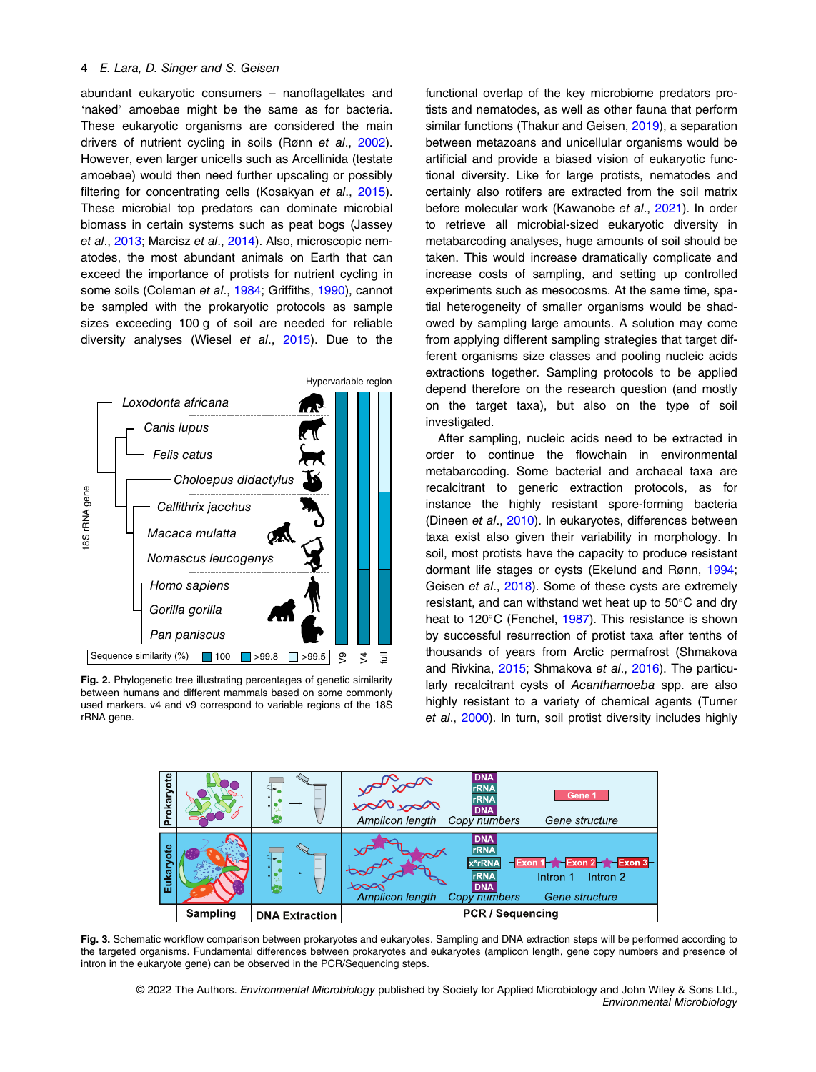#### <span id="page-3-0"></span>4 E. Lara, D. Singer and S. Geisen

abundant eukaryotic consumers – nanoflagellates and 'naked' amoebae might be the same as for bacteria. These eukaryotic organisms are considered the main drivers of nutrient cycling in soils (Rønn et al., [2002](#page-10-0)). However, even larger unicells such as Arcellinida (testate amoebae) would then need further upscaling or possibly filtering for concentrating cells (Kosakyan et al., [2015](#page-9-0)). These microbial top predators can dominate microbial biomass in certain systems such as peat bogs (Jassey et al., [2013](#page-9-0); Marcisz et al., [2014](#page-9-0)). Also, microscopic nematodes, the most abundant animals on Earth that can exceed the importance of protists for nutrient cycling in some soils (Coleman et al., [1984;](#page-8-0) Griffiths, [1990\)](#page-8-0), cannot be sampled with the prokaryotic protocols as sample sizes exceeding 100 g of soil are needed for reliable diversity analyses (Wiesel et al., [2015\)](#page-10-0). Due to the



Fig. 2. Phylogenetic tree illustrating percentages of genetic similarity between humans and different mammals based on some commonly used markers. v4 and v9 correspond to variable regions of the 18S rRNA gene.

functional overlap of the key microbiome predators protists and nematodes, as well as other fauna that perform similar functions (Thakur and Geisen, [2019](#page-10-0)), a separation between metazoans and unicellular organisms would be artificial and provide a biased vision of eukaryotic functional diversity. Like for large protists, nematodes and certainly also rotifers are extracted from the soil matrix before molecular work (Kawanobe et al., [2021\)](#page-9-0). In order to retrieve all microbial-sized eukaryotic diversity in metabarcoding analyses, huge amounts of soil should be taken. This would increase dramatically complicate and increase costs of sampling, and setting up controlled experiments such as mesocosms. At the same time, spatial heterogeneity of smaller organisms would be shadowed by sampling large amounts. A solution may come from applying different sampling strategies that target different organisms size classes and pooling nucleic acids extractions together. Sampling protocols to be applied depend therefore on the research question (and mostly on the target taxa), but also on the type of soil investigated.

After sampling, nucleic acids need to be extracted in order to continue the flowchain in environmental metabarcoding. Some bacterial and archaeal taxa are recalcitrant to generic extraction protocols, as for instance the highly resistant spore-forming bacteria (Dineen et al., [2010\)](#page-8-0). In eukaryotes, differences between taxa exist also given their variability in morphology. In soil, most protists have the capacity to produce resistant dormant life stages or cysts (Ekelund and Rønn, [1994;](#page-8-0) Geisen et al., [2018](#page-8-0)). Some of these cysts are extremely resistant, and can withstand wet heat up to  $50^{\circ}$ C and dry heat to 120°C (Fenchel, [1987](#page-8-0)). This resistance is shown by successful resurrection of protist taxa after tenths of thousands of years from Arctic permafrost (Shmakova and Rivkina, [2015;](#page-10-0) Shmakova et al., [2016](#page-10-0)). The particularly recalcitrant cysts of Acanthamoeba spp. are also highly resistant to a variety of chemical agents (Turner et al., [2000\)](#page-10-0). In turn, soil protist diversity includes highly



Fig. 3. Schematic workflow comparison between prokaryotes and eukaryotes. Sampling and DNA extraction steps will be performed according to the targeted organisms. Fundamental differences between prokaryotes and eukaryotes (amplicon length, gene copy numbers and presence of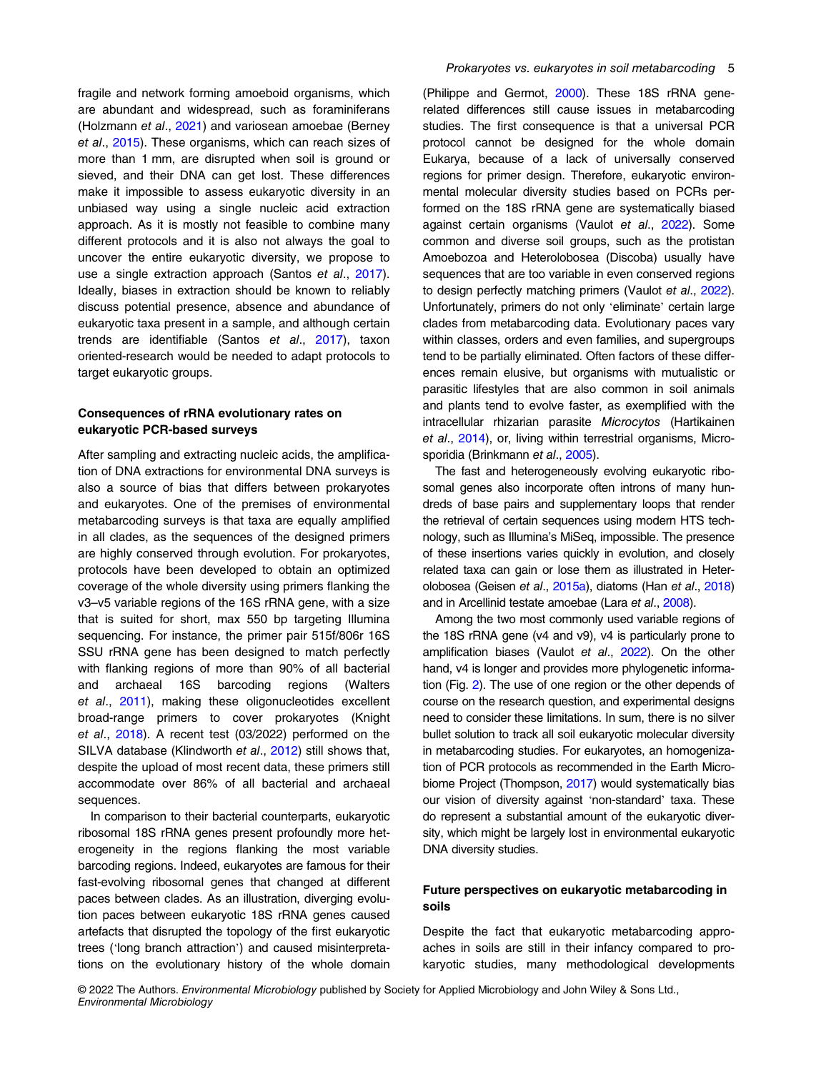fragile and network forming amoeboid organisms, which are abundant and widespread, such as foraminiferans (Holzmann et al., [2021\)](#page-8-0) and variosean amoebae (Berney et al., [2015](#page-7-0)). These organisms, which can reach sizes of more than 1 mm, are disrupted when soil is ground or sieved, and their DNA can get lost. These differences make it impossible to assess eukaryotic diversity in an unbiased way using a single nucleic acid extraction approach. As it is mostly not feasible to combine many different protocols and it is also not always the goal to uncover the entire eukaryotic diversity, we propose to use a single extraction approach (Santos et al., [2017](#page-10-0)). Ideally, biases in extraction should be known to reliably discuss potential presence, absence and abundance of eukaryotic taxa present in a sample, and although certain trends are identifiable (Santos et al., [2017](#page-10-0)), taxon oriented-research would be needed to adapt protocols to target eukaryotic groups.

## Consequences of rRNA evolutionary rates on eukaryotic PCR-based surveys

After sampling and extracting nucleic acids, the amplification of DNA extractions for environmental DNA surveys is also a source of bias that differs between prokaryotes and eukaryotes. One of the premises of environmental metabarcoding surveys is that taxa are equally amplified in all clades, as the sequences of the designed primers are highly conserved through evolution. For prokaryotes, protocols have been developed to obtain an optimized coverage of the whole diversity using primers flanking the v3–v5 variable regions of the 16S rRNA gene, with a size that is suited for short, max 550 bp targeting Illumina sequencing. For instance, the primer pair 515f/806r 16S SSU rRNA gene has been designed to match perfectly with flanking regions of more than 90% of all bacterial and archaeal 16S barcoding regions (Walters et al., [2011](#page-10-0)), making these oligonucleotides excellent broad-range primers to cover prokaryotes (Knight et al., [2018](#page-9-0)). A recent test (03/2022) performed on the SILVA database (Klindworth et al., [2012](#page-9-0)) still shows that, despite the upload of most recent data, these primers still accommodate over 86% of all bacterial and archaeal sequences.

In comparison to their bacterial counterparts, eukaryotic ribosomal 18S rRNA genes present profoundly more heterogeneity in the regions flanking the most variable barcoding regions. Indeed, eukaryotes are famous for their fast-evolving ribosomal genes that changed at different paces between clades. As an illustration, diverging evolution paces between eukaryotic 18S rRNA genes caused artefacts that disrupted the topology of the first eukaryotic trees ('long branch attraction') and caused misinterpretations on the evolutionary history of the whole domain

(Philippe and Germot, [2000\)](#page-9-0). These 18S rRNA generelated differences still cause issues in metabarcoding studies. The first consequence is that a universal PCR protocol cannot be designed for the whole domain Eukarya, because of a lack of universally conserved regions for primer design. Therefore, eukaryotic environmental molecular diversity studies based on PCRs performed on the 18S rRNA gene are systematically biased against certain organisms (Vaulot et al., [2022](#page-10-0)). Some common and diverse soil groups, such as the protistan Amoebozoa and Heterolobosea (Discoba) usually have sequences that are too variable in even conserved regions to design perfectly matching primers (Vaulot et al., [2022](#page-10-0)). Unfortunately, primers do not only 'eliminate' certain large clades from metabarcoding data. Evolutionary paces vary within classes, orders and even families, and supergroups tend to be partially eliminated. Often factors of these differences remain elusive, but organisms with mutualistic or parasitic lifestyles that are also common in soil animals and plants tend to evolve faster, as exemplified with the intracellular rhizarian parasite Microcytos (Hartikainen et al., [2014](#page-8-0)), or, living within terrestrial organisms, Micro-sporidia (Brinkmann et al., [2005](#page-8-0)).

The fast and heterogeneously evolving eukaryotic ribosomal genes also incorporate often introns of many hundreds of base pairs and supplementary loops that render the retrieval of certain sequences using modern HTS technology, such as Illumina's MiSeq, impossible. The presence of these insertions varies quickly in evolution, and closely related taxa can gain or lose them as illustrated in Heterolobosea (Geisen et al., [2015a\)](#page-8-0), diatoms (Han et al., [2018](#page-8-0)) and in Arcellinid testate amoebae (Lara et al., [2008](#page-9-0)).

Among the two most commonly used variable regions of the 18S rRNA gene (v4 and v9), v4 is particularly prone to amplification biases (Vaulot et al., [2022](#page-10-0)). On the other hand, v4 is longer and provides more phylogenetic information (Fig. [2\)](#page-3-0). The use of one region or the other depends of course on the research question, and experimental designs need to consider these limitations. In sum, there is no silver bullet solution to track all soil eukaryotic molecular diversity in metabarcoding studies. For eukaryotes, an homogenization of PCR protocols as recommended in the Earth Microbiome Project (Thompson, [2017\)](#page-10-0) would systematically bias our vision of diversity against 'non-standard' taxa. These do represent a substantial amount of the eukaryotic diversity, which might be largely lost in environmental eukaryotic DNA diversity studies.

## Future perspectives on eukaryotic metabarcoding in soils

Despite the fact that eukaryotic metabarcoding approaches in soils are still in their infancy compared to prokaryotic studies, many methodological developments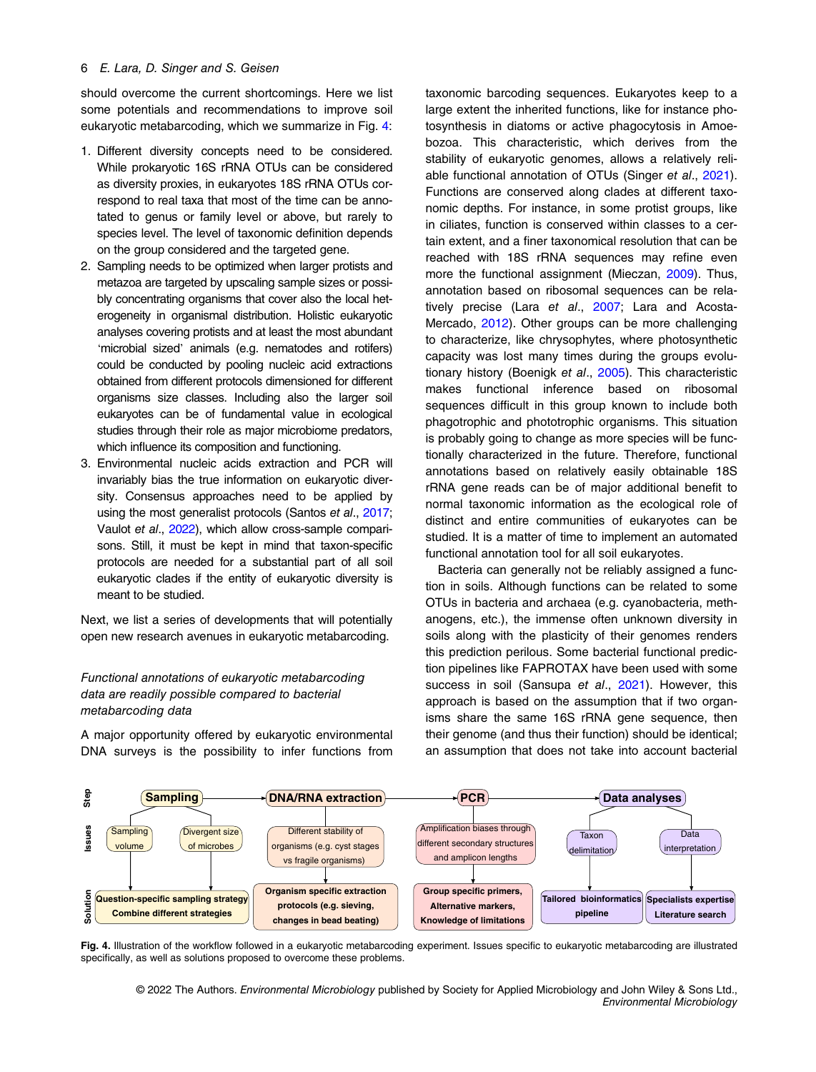should overcome the current shortcomings. Here we list some potentials and recommendations to improve soil eukaryotic metabarcoding, which we summarize in Fig. 4:

- 1. Different diversity concepts need to be considered. While prokaryotic 16S rRNA OTUs can be considered as diversity proxies, in eukaryotes 18S rRNA OTUs correspond to real taxa that most of the time can be annotated to genus or family level or above, but rarely to species level. The level of taxonomic definition depends on the group considered and the targeted gene.
- 2. Sampling needs to be optimized when larger protists and metazoa are targeted by upscaling sample sizes or possibly concentrating organisms that cover also the local heterogeneity in organismal distribution. Holistic eukaryotic analyses covering protists and at least the most abundant 'microbial sized' animals (e.g. nematodes and rotifers) could be conducted by pooling nucleic acid extractions obtained from different protocols dimensioned for different organisms size classes. Including also the larger soil eukaryotes can be of fundamental value in ecological studies through their role as major microbiome predators, which influence its composition and functioning.
- 3. Environmental nucleic acids extraction and PCR will invariably bias the true information on eukaryotic diversity. Consensus approaches need to be applied by using the most generalist protocols (Santos et al., [2017](#page-10-0); Vaulot et al., [2022](#page-10-0)), which allow cross-sample comparisons. Still, it must be kept in mind that taxon-specific protocols are needed for a substantial part of all soil eukaryotic clades if the entity of eukaryotic diversity is meant to be studied.

Next, we list a series of developments that will potentially open new research avenues in eukaryotic metabarcoding.

## Functional annotations of eukaryotic metabarcoding data are readily possible compared to bacterial metabarcoding data

A major opportunity offered by eukaryotic environmental DNA surveys is the possibility to infer functions from taxonomic barcoding sequences. Eukaryotes keep to a large extent the inherited functions, like for instance photosynthesis in diatoms or active phagocytosis in Amoebozoa. This characteristic, which derives from the stability of eukaryotic genomes, allows a relatively reliable functional annotation of OTUs (Singer et al., [2021\)](#page-10-0). Functions are conserved along clades at different taxonomic depths. For instance, in some protist groups, like in ciliates, function is conserved within classes to a certain extent, and a finer taxonomical resolution that can be reached with 18S rRNA sequences may refine even more the functional assignment (Mieczan, [2009](#page-9-0)). Thus, annotation based on ribosomal sequences can be relatively precise (Lara et al., [2007;](#page-9-0) Lara and Acosta-Mercado, [2012](#page-9-0)). Other groups can be more challenging to characterize, like chrysophytes, where photosynthetic capacity was lost many times during the groups evolutionary history (Boenigk et al., [2005](#page-7-0)). This characteristic makes functional inference based on ribosomal sequences difficult in this group known to include both phagotrophic and phototrophic organisms. This situation is probably going to change as more species will be functionally characterized in the future. Therefore, functional annotations based on relatively easily obtainable 18S rRNA gene reads can be of major additional benefit to normal taxonomic information as the ecological role of distinct and entire communities of eukaryotes can be studied. It is a matter of time to implement an automated functional annotation tool for all soil eukaryotes.

Bacteria can generally not be reliably assigned a function in soils. Although functions can be related to some OTUs in bacteria and archaea (e.g. cyanobacteria, methanogens, etc.), the immense often unknown diversity in soils along with the plasticity of their genomes renders this prediction perilous. Some bacterial functional prediction pipelines like FAPROTAX have been used with some success in soil (Sansupa et al., [2021](#page-10-0)). However, this approach is based on the assumption that if two organisms share the same 16S rRNA gene sequence, then their genome (and thus their function) should be identical; an assumption that does not take into account bacterial



Fig. 4. Illustration of the workflow followed in a eukaryotic metabarcoding experiment. Issues specific to eukaryotic metabarcoding are illustrated specifically, as well as solutions proposed to overcome these problems.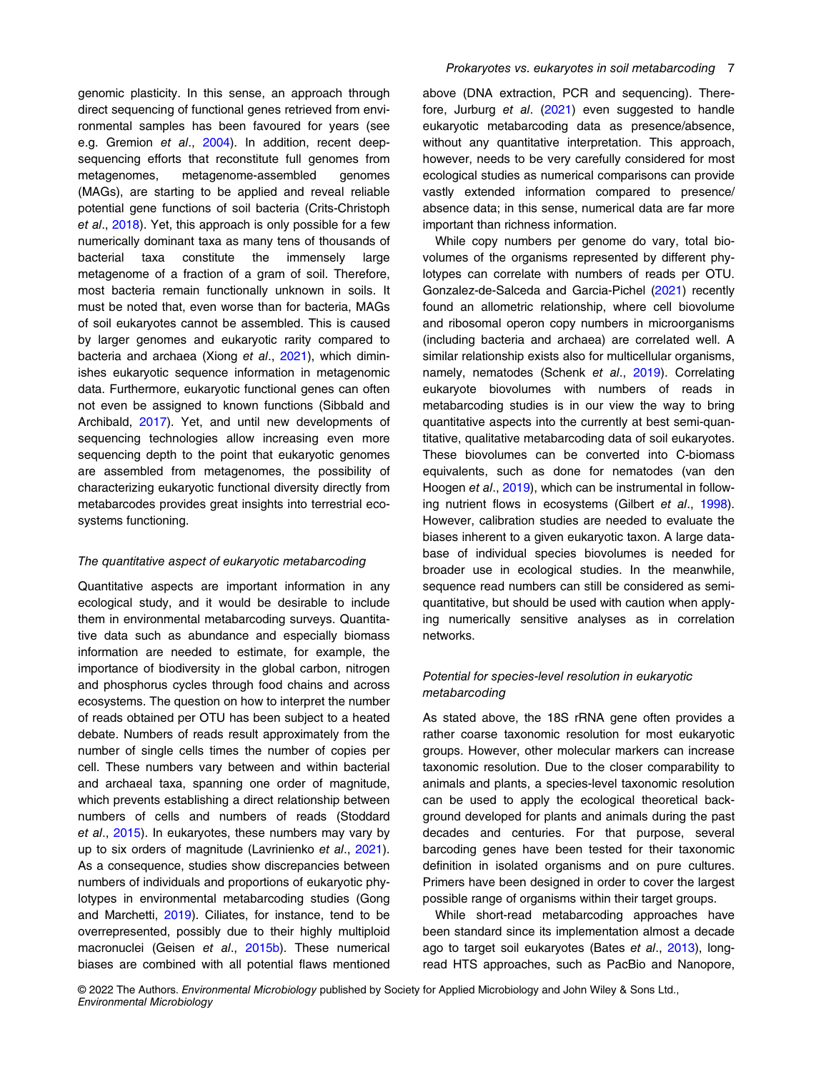<span id="page-6-0"></span>genomic plasticity. In this sense, an approach through direct sequencing of functional genes retrieved from environmental samples has been favoured for years (see e.g. Gremion et al., [2004\)](#page-8-0). In addition, recent deepsequencing efforts that reconstitute full genomes from metagenomes, metagenome-assembled genomes (MAGs), are starting to be applied and reveal reliable potential gene functions of soil bacteria (Crits-Christoph et al., [2018\)](#page-8-0). Yet, this approach is only possible for a few numerically dominant taxa as many tens of thousands of bacterial taxa constitute the immensely large metagenome of a fraction of a gram of soil. Therefore, most bacteria remain functionally unknown in soils. It must be noted that, even worse than for bacteria, MAGs of soil eukaryotes cannot be assembled. This is caused by larger genomes and eukaryotic rarity compared to bacteria and archaea (Xiong et al., [2021](#page-10-0)), which diminishes eukaryotic sequence information in metagenomic data. Furthermore, eukaryotic functional genes can often not even be assigned to known functions (Sibbald and Archibald, [2017\)](#page-10-0). Yet, and until new developments of sequencing technologies allow increasing even more sequencing depth to the point that eukaryotic genomes are assembled from metagenomes, the possibility of characterizing eukaryotic functional diversity directly from metabarcodes provides great insights into terrestrial ecosystems functioning.

#### The quantitative aspect of eukaryotic metabarcoding

Quantitative aspects are important information in any ecological study, and it would be desirable to include them in environmental metabarcoding surveys. Quantitative data such as abundance and especially biomass information are needed to estimate, for example, the importance of biodiversity in the global carbon, nitrogen and phosphorus cycles through food chains and across ecosystems. The question on how to interpret the number of reads obtained per OTU has been subject to a heated debate. Numbers of reads result approximately from the number of single cells times the number of copies per cell. These numbers vary between and within bacterial and archaeal taxa, spanning one order of magnitude, which prevents establishing a direct relationship between numbers of cells and numbers of reads (Stoddard et al., [2015\)](#page-10-0). In eukaryotes, these numbers may vary by up to six orders of magnitude (Lavrinienko et al., [2021](#page-9-0)). As a consequence, studies show discrepancies between numbers of individuals and proportions of eukaryotic phylotypes in environmental metabarcoding studies (Gong and Marchetti, [2019\)](#page-8-0). Ciliates, for instance, tend to be overrepresented, possibly due to their highly multiploid macronuclei (Geisen et al., [2015b\)](#page-8-0). These numerical biases are combined with all potential flaws mentioned

above (DNA extraction, PCR and sequencing). Therefore, Jurburg et al. [\(2021](#page-9-0)) even suggested to handle eukaryotic metabarcoding data as presence/absence, without any quantitative interpretation. This approach, however, needs to be very carefully considered for most ecological studies as numerical comparisons can provide vastly extended information compared to presence/ absence data; in this sense, numerical data are far more important than richness information.

While copy numbers per genome do vary, total biovolumes of the organisms represented by different phylotypes can correlate with numbers of reads per OTU. Gonzalez-de-Salceda and Garcia-Pichel [\(2021](#page-8-0)) recently found an allometric relationship, where cell biovolume and ribosomal operon copy numbers in microorganisms (including bacteria and archaea) are correlated well. A similar relationship exists also for multicellular organisms, namely, nematodes (Schenk et al., [2019](#page-10-0)). Correlating eukaryote biovolumes with numbers of reads in metabarcoding studies is in our view the way to bring quantitative aspects into the currently at best semi-quantitative, qualitative metabarcoding data of soil eukaryotes. These biovolumes can be converted into C-biomass equivalents, such as done for nematodes (van den Hoogen et al., [2019\)](#page-10-0), which can be instrumental in follow-ing nutrient flows in ecosystems (Gilbert et al., [1998\)](#page-8-0). However, calibration studies are needed to evaluate the biases inherent to a given eukaryotic taxon. A large database of individual species biovolumes is needed for broader use in ecological studies. In the meanwhile, sequence read numbers can still be considered as semiquantitative, but should be used with caution when applying numerically sensitive analyses as in correlation networks.

## Potential for species-level resolution in eukaryotic metabarcoding

As stated above, the 18S rRNA gene often provides a rather coarse taxonomic resolution for most eukaryotic groups. However, other molecular markers can increase taxonomic resolution. Due to the closer comparability to animals and plants, a species-level taxonomic resolution can be used to apply the ecological theoretical background developed for plants and animals during the past decades and centuries. For that purpose, several barcoding genes have been tested for their taxonomic definition in isolated organisms and on pure cultures. Primers have been designed in order to cover the largest possible range of organisms within their target groups.

While short-read metabarcoding approaches have been standard since its implementation almost a decade ago to target soil eukaryotes (Bates et al., [2013](#page-7-0)), longread HTS approaches, such as PacBio and Nanopore,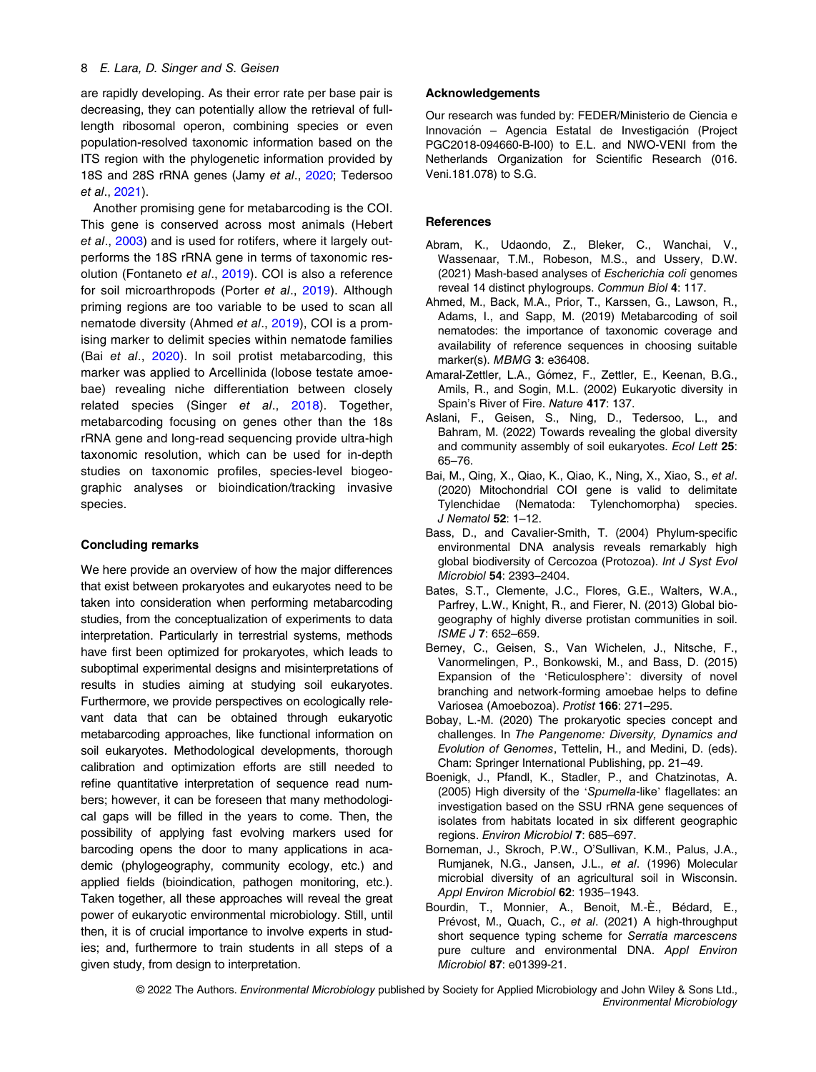#### <span id="page-7-0"></span>8 E. Lara, D. Singer and S. Geisen

are rapidly developing. As their error rate per base pair is decreasing, they can potentially allow the retrieval of fulllength ribosomal operon, combining species or even population-resolved taxonomic information based on the ITS region with the phylogenetic information provided by 18S and 28S rRNA genes (Jamy et al., [2020](#page-8-0); Tedersoo et al., [2021](#page-10-0)).

Another promising gene for metabarcoding is the COI. This gene is conserved across most animals (Hebert et al., [2003\)](#page-8-0) and is used for rotifers, where it largely outperforms the 18S rRNA gene in terms of taxonomic res-olution (Fontaneto et al., [2019](#page-8-0)). COI is also a reference for soil microarthropods (Porter et al., [2019](#page-9-0)). Although priming regions are too variable to be used to scan all nematode diversity (Ahmed et al., 2019), COI is a promising marker to delimit species within nematode families (Bai et al., 2020). In soil protist metabarcoding, this marker was applied to Arcellinida (lobose testate amoebae) revealing niche differentiation between closely related species (Singer et al., [2018](#page-10-0)). Together, metabarcoding focusing on genes other than the 18s rRNA gene and long-read sequencing provide ultra-high taxonomic resolution, which can be used for in-depth studies on taxonomic profiles, species-level biogeographic analyses or bioindication/tracking invasive species.

## Concluding remarks

We here provide an overview of how the major differences that exist between prokaryotes and eukaryotes need to be taken into consideration when performing metabarcoding studies, from the conceptualization of experiments to data interpretation. Particularly in terrestrial systems, methods have first been optimized for prokaryotes, which leads to suboptimal experimental designs and misinterpretations of results in studies aiming at studying soil eukaryotes. Furthermore, we provide perspectives on ecologically relevant data that can be obtained through eukaryotic metabarcoding approaches, like functional information on soil eukaryotes. Methodological developments, thorough calibration and optimization efforts are still needed to refine quantitative interpretation of sequence read numbers; however, it can be foreseen that many methodological gaps will be filled in the years to come. Then, the possibility of applying fast evolving markers used for barcoding opens the door to many applications in academic (phylogeography, community ecology, etc.) and applied fields (bioindication, pathogen monitoring, etc.). Taken together, all these approaches will reveal the great power of eukaryotic environmental microbiology. Still, until then, it is of crucial importance to involve experts in studies; and, furthermore to train students in all steps of a given study, from design to interpretation.

## Acknowledgements

Our research was funded by: FEDER/Ministerio de Ciencia e Innovación - Agencia Estatal de Investigación (Project PGC2018-094660-B-I00) to E.L. and NWO-VENI from the Netherlands Organization for Scientific Research (016. Veni.181.078) to S.G.

## **References**

- Abram, K., Udaondo, Z., Bleker, C., Wanchai, V., Wassenaar, T.M., Robeson, M.S., and Ussery, D.W. (2021) Mash-based analyses of Escherichia coli genomes reveal 14 distinct phylogroups. Commun Biol 4: 117.
- Ahmed, M., Back, M.A., Prior, T., Karssen, G., Lawson, R., Adams, I., and Sapp, M. (2019) Metabarcoding of soil nematodes: the importance of taxonomic coverage and availability of reference sequences in choosing suitable marker(s). MBMG 3: e36408.
- Amaral-Zettler, L.A., Gómez, F., Zettler, E., Keenan, B.G., Amils, R., and Sogin, M.L. (2002) Eukaryotic diversity in Spain's River of Fire. Nature 417: 137.
- Aslani, F., Geisen, S., Ning, D., Tedersoo, L., and Bahram, M. (2022) Towards revealing the global diversity and community assembly of soil eukaryotes. Ecol Lett 25: 65–76.
- Bai, M., Qing, X., Qiao, K., Qiao, K., Ning, X., Xiao, S., et al. (2020) Mitochondrial COI gene is valid to delimitate Tylenchidae (Nematoda: Tylenchomorpha) species. J Nematol 52: 1–12.
- Bass, D., and Cavalier-Smith, T. (2004) Phylum-specific environmental DNA analysis reveals remarkably high global biodiversity of Cercozoa (Protozoa). Int J Syst Evol Microbiol 54: 2393–2404.
- Bates, S.T., Clemente, J.C., Flores, G.E., Walters, W.A., Parfrey, L.W., Knight, R., and Fierer, N. (2013) Global biogeography of highly diverse protistan communities in soil. ISME J 7: 652–659.
- Berney, C., Geisen, S., Van Wichelen, J., Nitsche, F., Vanormelingen, P., Bonkowski, M., and Bass, D. (2015) Expansion of the 'Reticulosphere': diversity of novel branching and network-forming amoebae helps to define Variosea (Amoebozoa). Protist 166: 271–295.
- Bobay, L.-M. (2020) The prokaryotic species concept and challenges. In The Pangenome: Diversity, Dynamics and Evolution of Genomes, Tettelin, H., and Medini, D. (eds). Cham: Springer International Publishing, pp. 21–49.
- Boenigk, J., Pfandl, K., Stadler, P., and Chatzinotas, A. (2005) High diversity of the 'Spumella-like' flagellates: an investigation based on the SSU rRNA gene sequences of isolates from habitats located in six different geographic regions. Environ Microbiol 7: 685–697.
- Borneman, J., Skroch, P.W., O'Sullivan, K.M., Palus, J.A., Rumjanek, N.G., Jansen, J.L., et al. (1996) Molecular microbial diversity of an agricultural soil in Wisconsin. Appl Environ Microbiol 62: 1935-1943.
- Bourdin, T., Monnier, A., Benoit, M.-È., Bédard, E., Prévost, M., Quach, C., et al. (2021) A high-throughput short sequence typing scheme for Serratia marcescens pure culture and environmental DNA. Appl Environ Microbiol 87: e01399-21.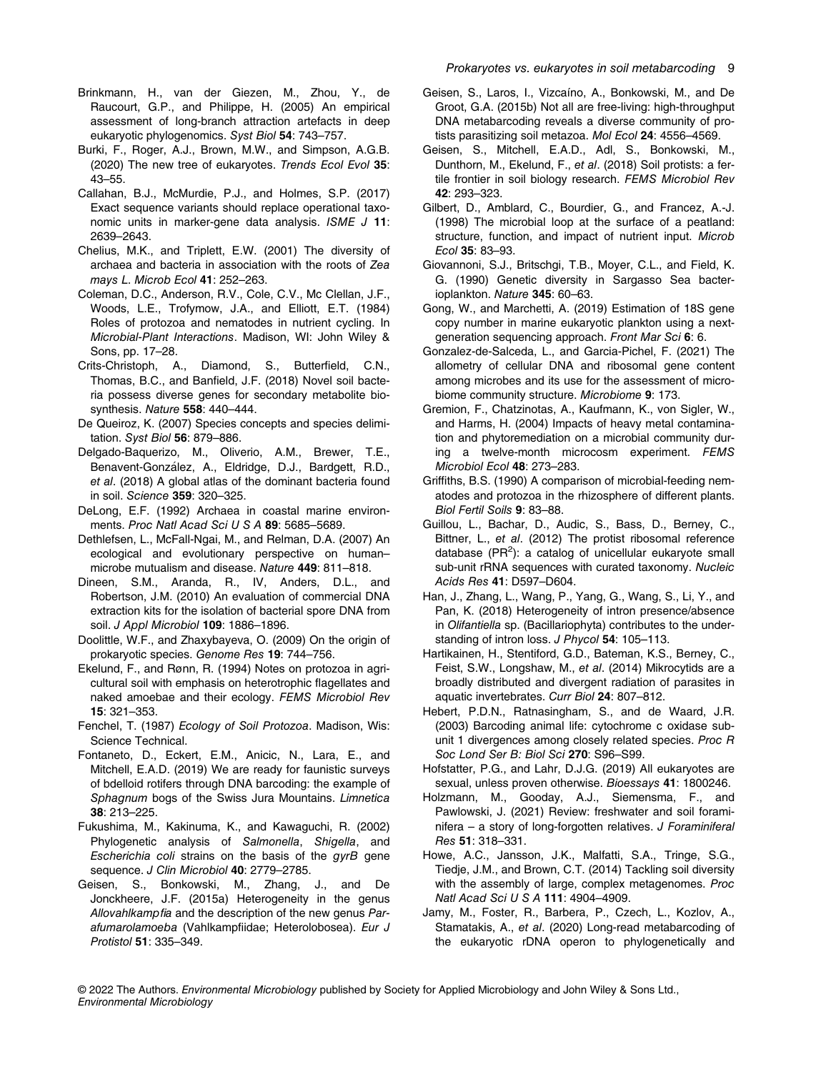- <span id="page-8-0"></span>Brinkmann, H., van der Giezen, M., Zhou, Y., de Raucourt, G.P., and Philippe, H. (2005) An empirical assessment of long-branch attraction artefacts in deep eukaryotic phylogenomics. Syst Biol 54: 743–757.
- Burki, F., Roger, A.J., Brown, M.W., and Simpson, A.G.B. (2020) The new tree of eukaryotes. Trends Ecol Evol 35: 43–55.
- Callahan, B.J., McMurdie, P.J., and Holmes, S.P. (2017) Exact sequence variants should replace operational taxonomic units in marker-gene data analysis. ISME J 11: 2639–2643.
- Chelius, M.K., and Triplett, E.W. (2001) The diversity of archaea and bacteria in association with the roots of Zea mays L. Microb Ecol 41: 252–263.
- Coleman, D.C., Anderson, R.V., Cole, C.V., Mc Clellan, J.F., Woods, L.E., Trofymow, J.A., and Elliott, E.T. (1984) Roles of protozoa and nematodes in nutrient cycling. In Microbial-Plant Interactions. Madison, WI: John Wiley & Sons, pp. 17–28.
- Crits-Christoph, A., Diamond, S., Butterfield, C.N., Thomas, B.C., and Banfield, J.F. (2018) Novel soil bacteria possess diverse genes for secondary metabolite biosynthesis. Nature 558: 440–444.
- De Queiroz, K. (2007) Species concepts and species delimitation. Syst Biol 56: 879–886.
- Delgado-Baquerizo, M., Oliverio, A.M., Brewer, T.E., Benavent-Gonzalez, A., Eldridge, D.J., Bardgett, R.D., et al. (2018) A global atlas of the dominant bacteria found in soil. Science 359: 320–325.
- DeLong, E.F. (1992) Archaea in coastal marine environments. Proc Natl Acad Sci U S A 89: 5685-5689.
- Dethlefsen, L., McFall-Ngai, M., and Relman, D.A. (2007) An ecological and evolutionary perspective on human– microbe mutualism and disease. Nature 449: 811–818.
- Dineen, S.M., Aranda, R., IV, Anders, D.L., and Robertson, J.M. (2010) An evaluation of commercial DNA extraction kits for the isolation of bacterial spore DNA from soil. *J Appl Microbiol* **109**: 1886-1896.
- Doolittle, W.F., and Zhaxybayeva, O. (2009) On the origin of prokaryotic species. Genome Res 19: 744–756.
- Ekelund, F., and Rønn, R. (1994) Notes on protozoa in agricultural soil with emphasis on heterotrophic flagellates and naked amoebae and their ecology. FEMS Microbiol Rev 15: 321–353.
- Fenchel, T. (1987) Ecology of Soil Protozoa. Madison, Wis: Science Technical.
- Fontaneto, D., Eckert, E.M., Anicic, N., Lara, E., and Mitchell, E.A.D. (2019) We are ready for faunistic surveys of bdelloid rotifers through DNA barcoding: the example of Sphagnum bogs of the Swiss Jura Mountains. Limnetica 38: 213–225.
- Fukushima, M., Kakinuma, K., and Kawaguchi, R. (2002) Phylogenetic analysis of Salmonella, Shigella, and Escherichia coli strains on the basis of the gyrB gene sequence. J Clin Microbiol 40: 2779-2785.
- Geisen, S., Bonkowski, M., Zhang, J., and De Jonckheere, J.F. (2015a) Heterogeneity in the genus Allovahlkampfia and the description of the new genus Parafumarolamoeba (Vahlkampfiidae; Heterolobosea). Eur J Protistol 51: 335–349.
- Geisen, S., Laros, I., Vizcaíno, A., Bonkowski, M., and De Groot, G.A. (2015b) Not all are free-living: high-throughput DNA metabarcoding reveals a diverse community of protists parasitizing soil metazoa. Mol Ecol 24: 4556–4569.
- Geisen, S., Mitchell, E.A.D., Adl, S., Bonkowski, M., Dunthorn, M., Ekelund, F., et al. (2018) Soil protists: a fertile frontier in soil biology research. FEMS Microbiol Rev 42: 293–323.
- Gilbert, D., Amblard, C., Bourdier, G., and Francez, A.-J. (1998) The microbial loop at the surface of a peatland: structure, function, and impact of nutrient input. Microb Ecol 35: 83–93.
- Giovannoni, S.J., Britschgi, T.B., Moyer, C.L., and Field, K. G. (1990) Genetic diversity in Sargasso Sea bacterioplankton. Nature 345: 60–63.
- Gong, W., and Marchetti, A. (2019) Estimation of 18S gene copy number in marine eukaryotic plankton using a nextgeneration sequencing approach. Front Mar Sci 6: 6.
- Gonzalez-de-Salceda, L., and Garcia-Pichel, F. (2021) The allometry of cellular DNA and ribosomal gene content among microbes and its use for the assessment of microbiome community structure. Microbiome 9: 173.
- Gremion, F., Chatzinotas, A., Kaufmann, K., von Sigler, W., and Harms, H. (2004) Impacts of heavy metal contamination and phytoremediation on a microbial community during a twelve-month microcosm experiment. FEMS Microbiol Ecol 48: 273–283.
- Griffiths, B.S. (1990) A comparison of microbial-feeding nematodes and protozoa in the rhizosphere of different plants. Biol Fertil Soils 9: 83–88.
- Guillou, L., Bachar, D., Audic, S., Bass, D., Berney, C., Bittner, L., et al. (2012) The protist ribosomal reference database ( $PR<sup>2</sup>$ ): a catalog of unicellular eukaryote small sub-unit rRNA sequences with curated taxonomy. Nucleic Acids Res 41: D597–D604.
- Han, J., Zhang, L., Wang, P., Yang, G., Wang, S., Li, Y., and Pan, K. (2018) Heterogeneity of intron presence/absence in Olifantiella sp. (Bacillariophyta) contributes to the understanding of intron loss. J Phycol 54: 105-113.
- Hartikainen, H., Stentiford, G.D., Bateman, K.S., Berney, C., Feist, S.W., Longshaw, M., et al. (2014) Mikrocytids are a broadly distributed and divergent radiation of parasites in aquatic invertebrates. Curr Biol 24: 807–812.
- Hebert, P.D.N., Ratnasingham, S., and de Waard, J.R. (2003) Barcoding animal life: cytochrome c oxidase subunit 1 divergences among closely related species. Proc R Soc Lond Ser B: Biol Sci 270: S96–S99.
- Hofstatter, P.G., and Lahr, D.J.G. (2019) All eukaryotes are sexual, unless proven otherwise. Bioessays 41: 1800246.
- Holzmann, M., Gooday, A.J., Siemensma, F., and Pawlowski, J. (2021) Review: freshwater and soil foraminifera – a story of long-forgotten relatives. J Foraminiferal Res 51: 318–331.
- Howe, A.C., Jansson, J.K., Malfatti, S.A., Tringe, S.G., Tiedje, J.M., and Brown, C.T. (2014) Tackling soil diversity with the assembly of large, complex metagenomes. Proc Natl Acad Sci U S A 111: 4904–4909.
- Jamy, M., Foster, R., Barbera, P., Czech, L., Kozlov, A., Stamatakis, A., et al. (2020) Long-read metabarcoding of the eukaryotic rDNA operon to phylogenetically and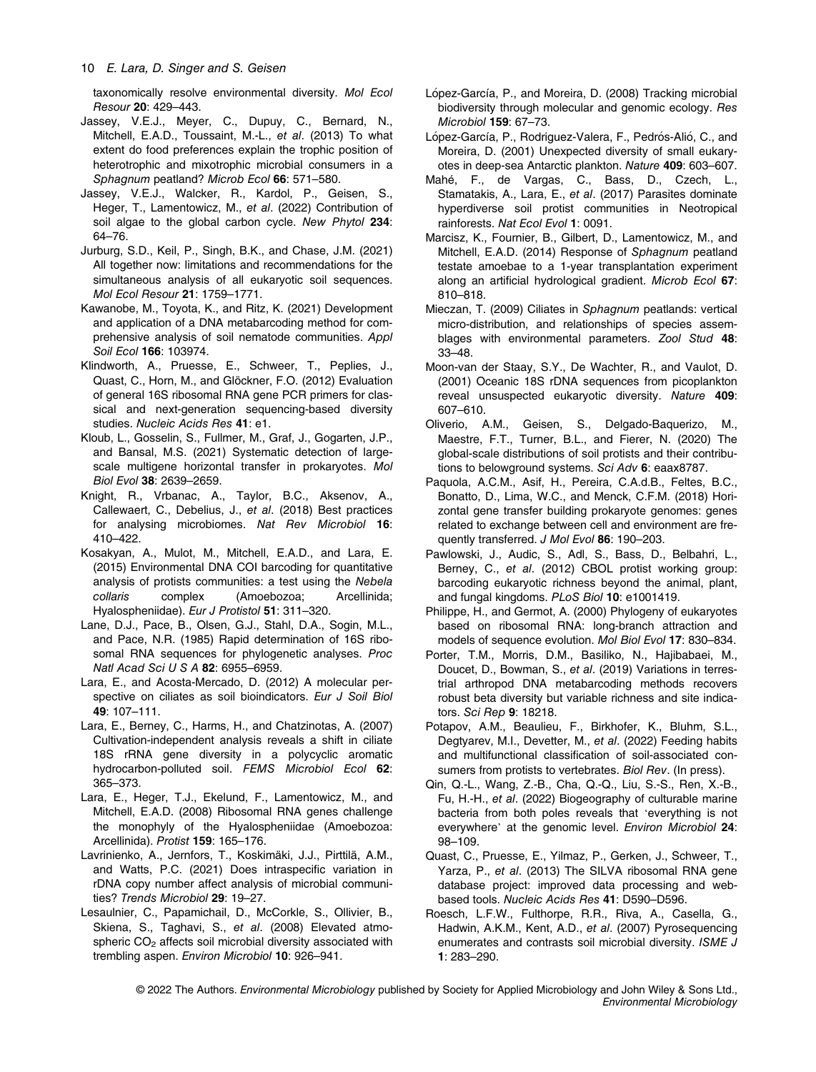<span id="page-9-0"></span>taxonomically resolve environmental diversity. Mol Ecol Resour 20: 429–443.

- Jassey, V.E.J., Meyer, C., Dupuy, C., Bernard, N., Mitchell, E.A.D., Toussaint, M.-L., et al. (2013) To what extent do food preferences explain the trophic position of heterotrophic and mixotrophic microbial consumers in a Sphagnum peatland? Microb Ecol 66: 571-580.
- Jassey, V.E.J., Walcker, R., Kardol, P., Geisen, S., Heger, T., Lamentowicz, M., et al. (2022) Contribution of soil algae to the global carbon cycle. New Phytol 234: 64–76.
- Jurburg, S.D., Keil, P., Singh, B.K., and Chase, J.M. (2021) All together now: limitations and recommendations for the simultaneous analysis of all eukaryotic soil sequences. Mol Ecol Resour 21: 1759–1771.
- Kawanobe, M., Toyota, K., and Ritz, K. (2021) Development and application of a DNA metabarcoding method for comprehensive analysis of soil nematode communities. Appl Soil Ecol 166: 103974.
- Klindworth, A., Pruesse, E., Schweer, T., Peplies, J., Quast, C., Horn, M., and Glöckner, F.O. (2012) Evaluation of general 16S ribosomal RNA gene PCR primers for classical and next-generation sequencing-based diversity studies. Nucleic Acids Res 41: e1.
- Kloub, L., Gosselin, S., Fullmer, M., Graf, J., Gogarten, J.P., and Bansal, M.S. (2021) Systematic detection of largescale multigene horizontal transfer in prokaryotes. Mol Biol Evol 38: 2639–2659.
- Knight, R., Vrbanac, A., Taylor, B.C., Aksenov, A., Callewaert, C., Debelius, J., et al. (2018) Best practices for analysing microbiomes. Nat Rev Microbiol 16: 410–422.
- Kosakyan, A., Mulot, M., Mitchell, E.A.D., and Lara, E. (2015) Environmental DNA COI barcoding for quantitative analysis of protists communities: a test using the Nebela collaris complex (Amoebozoa; Arcellinida; Hyalospheniidae). Eur J Protistol 51: 311–320.
- Lane, D.J., Pace, B., Olsen, G.J., Stahl, D.A., Sogin, M.L., and Pace, N.R. (1985) Rapid determination of 16S ribosomal RNA sequences for phylogenetic analyses. Proc Natl Acad Sci U S A 82: 6955–6959.
- Lara, E., and Acosta-Mercado, D. (2012) A molecular perspective on ciliates as soil bioindicators. Eur J Soil Biol 49: 107–111.
- Lara, E., Berney, C., Harms, H., and Chatzinotas, A. (2007) Cultivation-independent analysis reveals a shift in ciliate 18S rRNA gene diversity in a polycyclic aromatic hydrocarbon-polluted soil. FEMS Microbiol Ecol 62: 365–373.
- Lara, E., Heger, T.J., Ekelund, F., Lamentowicz, M., and Mitchell, E.A.D. (2008) Ribosomal RNA genes challenge the monophyly of the Hyalospheniidae (Amoebozoa: Arcellinida). Protist 159: 165–176.
- Lavrinienko, A., Jernfors, T., Koskimäki, J.J., Pirttilä, A.M., and Watts, P.C. (2021) Does intraspecific variation in rDNA copy number affect analysis of microbial communities? Trends Microbiol 29: 19–27.
- Lesaulnier, C., Papamichail, D., McCorkle, S., Ollivier, B., Skiena, S., Taghavi, S., et al. (2008) Elevated atmospheric CO<sub>2</sub> affects soil microbial diversity associated with trembling aspen. Environ Microbiol 10: 926–941.
- López-García, P., and Moreira, D. (2008) Tracking microbial biodiversity through molecular and genomic ecology. Res Microbiol 159: 67–73.
- López-García, P., Rodriguez-Valera, F., Pedrós-Alió, C., and Moreira, D. (2001) Unexpected diversity of small eukaryotes in deep-sea Antarctic plankton. Nature 409: 603–607.
- Mahé, F., de Vargas, C., Bass, D., Czech, L., Stamatakis, A., Lara, E., et al. (2017) Parasites dominate hyperdiverse soil protist communities in Neotropical rainforests. Nat Ecol Evol 1: 0091.
- Marcisz, K., Fournier, B., Gilbert, D., Lamentowicz, M., and Mitchell, E.A.D. (2014) Response of Sphagnum peatland testate amoebae to a 1-year transplantation experiment along an artificial hydrological gradient. Microb Ecol 67: 810–818.
- Mieczan, T. (2009) Ciliates in Sphagnum peatlands: vertical micro-distribution, and relationships of species assemblages with environmental parameters. Zool Stud 48: 33–48.
- Moon-van der Staay, S.Y., De Wachter, R., and Vaulot, D. (2001) Oceanic 18S rDNA sequences from picoplankton reveal unsuspected eukaryotic diversity. Nature 409: 607–610.
- Oliverio, A.M., Geisen, S., Delgado-Baquerizo, M., Maestre, F.T., Turner, B.L., and Fierer, N. (2020) The global-scale distributions of soil protists and their contributions to belowground systems. Sci Adv 6: eaax8787.
- Paquola, A.C.M., Asif, H., Pereira, C.A.d.B., Feltes, B.C., Bonatto, D., Lima, W.C., and Menck, C.F.M. (2018) Horizontal gene transfer building prokaryote genomes: genes related to exchange between cell and environment are frequently transferred. J Mol Evol 86: 190–203.
- Pawlowski, J., Audic, S., Adl, S., Bass, D., Belbahri, L., Berney, C., et al. (2012) CBOL protist working group: barcoding eukaryotic richness beyond the animal, plant, and fungal kingdoms. PLoS Biol 10: e1001419.
- Philippe, H., and Germot, A. (2000) Phylogeny of eukaryotes based on ribosomal RNA: long-branch attraction and models of sequence evolution. Mol Biol Evol 17: 830–834.
- Porter, T.M., Morris, D.M., Basiliko, N., Hajibabaei, M., Doucet, D., Bowman, S., et al. (2019) Variations in terrestrial arthropod DNA metabarcoding methods recovers robust beta diversity but variable richness and site indicators. Sci Rep 9: 18218.
- Potapov, A.M., Beaulieu, F., Birkhofer, K., Bluhm, S.L., Degtyarev, M.I., Devetter, M., et al. (2022) Feeding habits and multifunctional classification of soil-associated consumers from protists to vertebrates. Biol Rev. (In press).
- Qin, Q.-L., Wang, Z.-B., Cha, Q.-Q., Liu, S.-S., Ren, X.-B., Fu, H.-H., et al. (2022) Biogeography of culturable marine bacteria from both poles reveals that 'everything is not everywhere' at the genomic level. Environ Microbiol 24: 98–109.
- Quast, C., Pruesse, E., Yilmaz, P., Gerken, J., Schweer, T., Yarza, P., et al. (2013) The SILVA ribosomal RNA gene database project: improved data processing and webbased tools. Nucleic Acids Res 41: D590–D596.
- Roesch, L.F.W., Fulthorpe, R.R., Riva, A., Casella, G., Hadwin, A.K.M., Kent, A.D., et al. (2007) Pyrosequencing enumerates and contrasts soil microbial diversity. ISME J 1: 283–290.